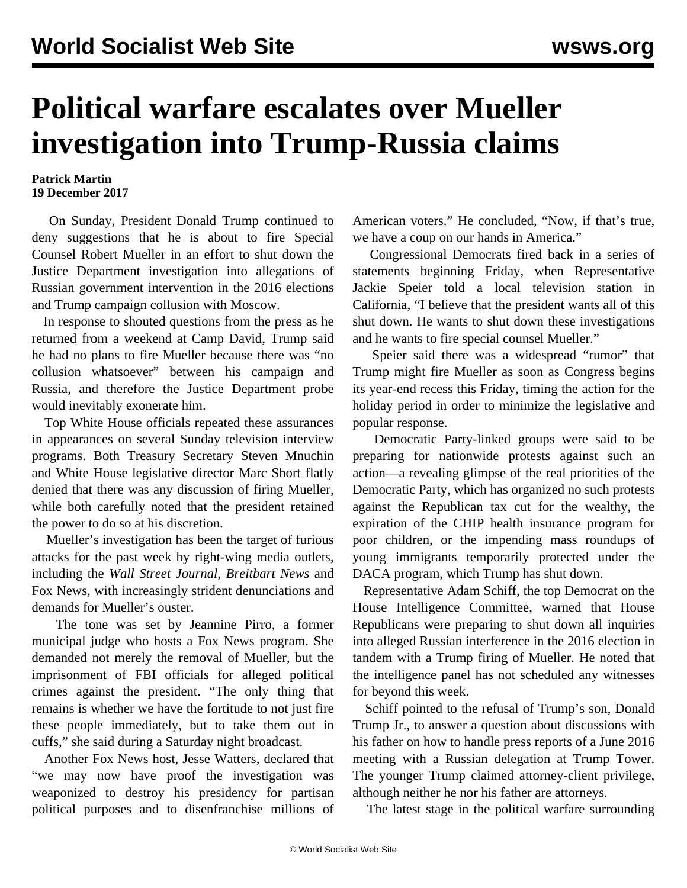## **Political warfare escalates over Mueller investigation into Trump-Russia claims**

## **Patrick Martin 19 December 2017**

 On Sunday, President Donald Trump continued to deny suggestions that he is about to fire Special Counsel Robert Mueller in an effort to shut down the Justice Department investigation into allegations of Russian government intervention in the 2016 elections and Trump campaign collusion with Moscow.

 In response to shouted questions from the press as he returned from a weekend at Camp David, Trump said he had no plans to fire Mueller because there was "no collusion whatsoever" between his campaign and Russia, and therefore the Justice Department probe would inevitably exonerate him.

 Top White House officials repeated these assurances in appearances on several Sunday television interview programs. Both Treasury Secretary Steven Mnuchin and White House legislative director Marc Short flatly denied that there was any discussion of firing Mueller, while both carefully noted that the president retained the power to do so at his discretion.

 Mueller's investigation has been the target of furious attacks for the past week by right-wing media outlets, including the *Wall Street Journal*, *Breitbart News* and Fox News, with increasingly strident denunciations and demands for Mueller's ouster.

 The tone was set by Jeannine Pirro, a former municipal judge who hosts a Fox News program. She demanded not merely the removal of Mueller, but the imprisonment of FBI officials for alleged political crimes against the president. "The only thing that remains is whether we have the fortitude to not just fire these people immediately, but to take them out in cuffs," she said during a Saturday night broadcast.

 Another Fox News host, Jesse Watters, declared that "we may now have proof the investigation was weaponized to destroy his presidency for partisan political purposes and to disenfranchise millions of American voters." He concluded, "Now, if that's true, we have a coup on our hands in America."

 Congressional Democrats fired back in a series of statements beginning Friday, when Representative Jackie Speier told a local television station in California, "I believe that the president wants all of this shut down. He wants to shut down these investigations and he wants to fire special counsel Mueller."

 Speier said there was a widespread "rumor" that Trump might fire Mueller as soon as Congress begins its year-end recess this Friday, timing the action for the holiday period in order to minimize the legislative and popular response.

 Democratic Party-linked groups were said to be preparing for nationwide protests against such an action—a revealing glimpse of the real priorities of the Democratic Party, which has organized no such protests against the Republican tax cut for the wealthy, the expiration of the CHIP health insurance program for poor children, or the impending mass roundups of young immigrants temporarily protected under the DACA program, which Trump has shut down.

 Representative Adam Schiff, the top Democrat on the House Intelligence Committee, warned that House Republicans were preparing to shut down all inquiries into alleged Russian interference in the 2016 election in tandem with a Trump firing of Mueller. He noted that the intelligence panel has not scheduled any witnesses for beyond this week.

 Schiff pointed to the refusal of Trump's son, Donald Trump Jr., to answer a question about discussions with his father on how to handle press reports of a June 2016 meeting with a Russian delegation at Trump Tower. The younger Trump claimed attorney-client privilege, although neither he nor his father are attorneys.

The latest stage in the political warfare surrounding